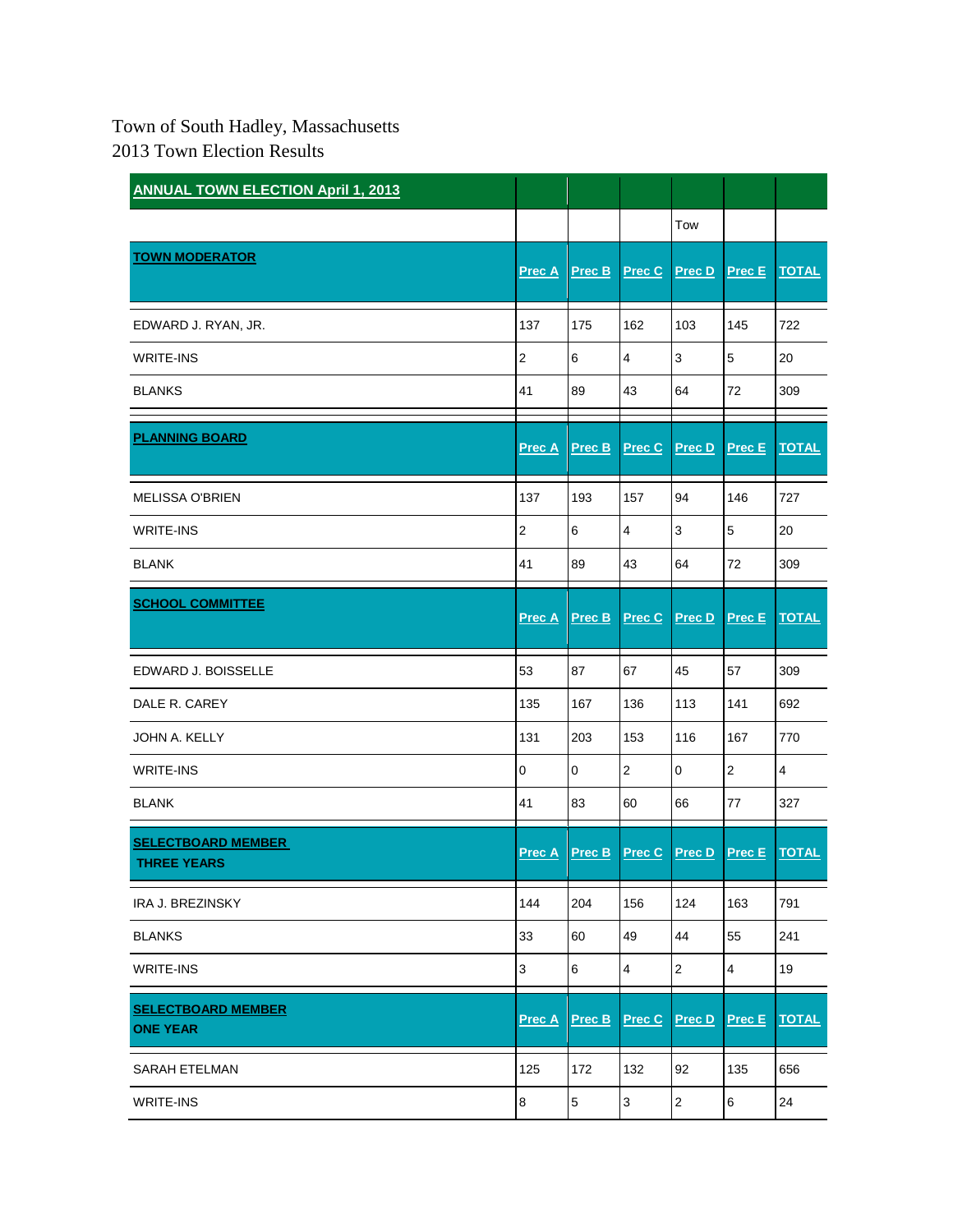## Town of South Hadley, Massachusetts 2013 Town Election Results

| <b>ANNUAL TOWN ELECTION April 1, 2013</b>       |                |                |                |                |                |                |
|-------------------------------------------------|----------------|----------------|----------------|----------------|----------------|----------------|
|                                                 |                |                |                | Tow            |                |                |
| <b>TOWN MODERATOR</b>                           | Prec A         | Prec B         | Prec C         | <b>Prec D</b>  | Prec E         | <b>TOTAL</b>   |
| EDWARD J. RYAN, JR.                             | 137            | 175            | 162            | 103            | 145            | 722            |
| <b>WRITE-INS</b>                                | $\overline{c}$ | 6              | 4              | 3              | $\mathbf 5$    | 20             |
| <b>BLANKS</b>                                   | 41             | 89             | 43             | 64             | 72             | 309            |
| <b>PLANNING BOARD</b>                           | Prec A         | Prec B         | Prec C         | Prec D         | Prec E         | <b>TOTAL</b>   |
| <b>MELISSA O'BRIEN</b>                          | 137            | 193            | 157            | 94             | 146            | 727            |
| <b>WRITE-INS</b>                                | $\overline{2}$ | 6              | 4              | 3              | 5              | 20             |
| <b>BLANK</b>                                    | 41             | 89             | 43             | 64             | 72             | 309            |
| <b>SCHOOL COMMITTEE</b>                         | <b>Prec A</b>  | Prec B         | Prec C         | Prec D         | <b>Prec E</b>  | <b>TOTAL</b>   |
| EDWARD J. BOISSELLE                             | 53             | 87             | 67             | 45             | 57             | 309            |
| DALE R. CAREY                                   | 135            | 167            | 136            | 113            | 141            | 692            |
| JOHN A. KELLY                                   | 131            | 203            | 153            | 116            | 167            | 770            |
| <b>WRITE-INS</b>                                | $\pmb{0}$      | $\pmb{0}$      | $\overline{2}$ | $\mathbf 0$    | 2              | $\overline{4}$ |
| <b>BLANK</b>                                    | 41             | 83             | 60             | 66             | 77             | 327            |
| <b>SELECTBOARD MEMBER</b><br><b>THREE YEARS</b> | <b>Prec A</b>  | Prec B         | Prec C         | Prec D         | Prec E         | <b>TOTAL</b>   |
| <b>IRA J. BREZINSKY</b>                         | 144            | 204            | 156            | 124            | 163            | 791            |
| <b>BLANKS</b>                                   | 33             | 60             | 49             | 44             | 55             | 241            |
| <b>WRITE-INS</b>                                | $\mathsf 3$    | 6              | 4              | $\mathbf{2}$   | $\overline{4}$ | 19             |
| <b>SELECTBOARD MEMBER</b><br><b>ONE YEAR</b>    | <b>Prec A</b>  | Prec B         | Prec C         | Prec D         | <b>Prec E</b>  | <b>TOTAL</b>   |
| <b>SARAH ETELMAN</b>                            | 125            | 172            | 132            | 92             | 135            | 656            |
| <b>WRITE-INS</b>                                | 8              | $\overline{5}$ | $\mathbf{3}$   | $\overline{2}$ | 6              | 24             |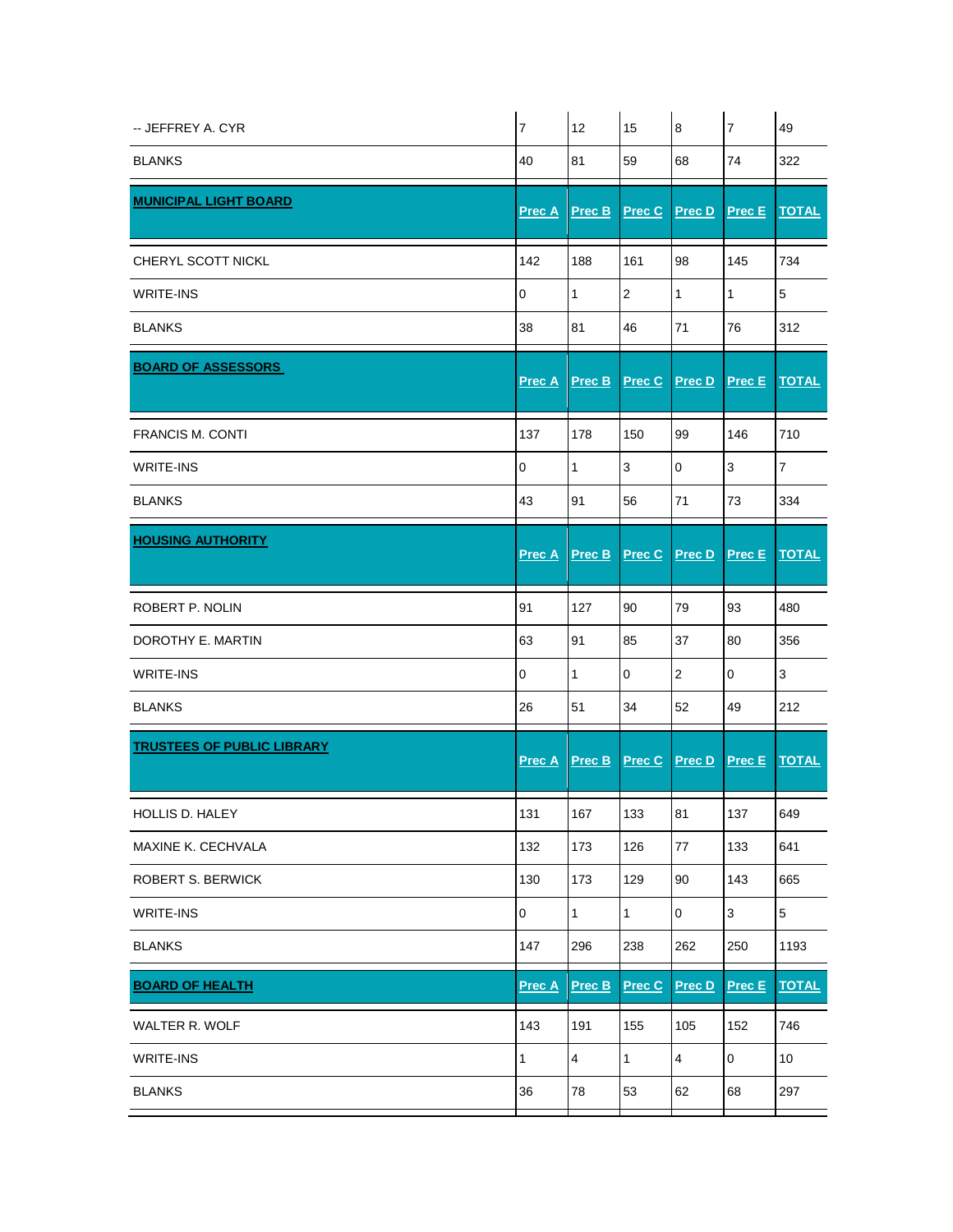| -- JEFFREY A. CYR                 | $\overline{7}$ | 12             | 15                   | $\boldsymbol{8}$        | $\overline{7}$ | 49             |
|-----------------------------------|----------------|----------------|----------------------|-------------------------|----------------|----------------|
| <b>BLANKS</b>                     | 40             | 81             | 59                   | 68                      | 74             | 322            |
| <b>MUNICIPAL LIGHT BOARD</b>      | Prec A         | Prec B         | Prec C               | Prec D                  | Prec E         | <b>TOTAL</b>   |
| CHERYL SCOTT NICKL                | 142            | 188            | 161                  | 98                      | 145            | 734            |
| <b>WRITE-INS</b>                  | $\mathbf 0$    | $\mathbf{1}$   | $\mathbf{2}$         | $\mathbf{1}$            | $\mathbf{1}$   | 5              |
| <b>BLANKS</b>                     | 38             | 81             | 46                   | 71                      | 76             | 312            |
| <b>BOARD OF ASSESSORS</b>         | <b>Prec A</b>  | Prec B         | Prec C               | Prec D                  | Prec E         | <b>TOTAL</b>   |
| <b>FRANCIS M. CONTI</b>           | 137            | 178            | 150                  | 99                      | 146            | 710            |
| <b>WRITE-INS</b>                  | $\mathbf 0$    | $\mathbf{1}$   | 3                    | $\mathbf 0$             | 3              | $\overline{7}$ |
| <b>BLANKS</b>                     | 43             | 91             | 56                   | 71                      | 73             | 334            |
| <b>HOUSING AUTHORITY</b>          | <b>Prec A</b>  | Prec B         | <b>Prec C</b> Prec D |                         | <b>Prec E</b>  | <b>TOTAL</b>   |
| ROBERT P. NOLIN                   | 91             | 127            | 90                   | 79                      | 93             | 480            |
| DOROTHY E. MARTIN                 | 63             | 91             | 85                   | 37                      | 80             | 356            |
| <b>WRITE-INS</b>                  | $\pmb{0}$      | $\mathbf{1}$   | 0                    | $\overline{2}$          | 0              | 3              |
| <b>BLANKS</b>                     | 26             | 51             | 34                   | 52                      | 49             | 212            |
| <b>TRUSTEES OF PUBLIC LIBRARY</b> | Prec A         | Prec B         | Prec C               | Prec D                  | Prec E         | <b>TOTAL</b>   |
| HOLLIS D. HALEY                   | 131            | 167            | 133                  | 81                      | 137            | 649            |
| MAXINE K. CECHVALA                | 132            | 173            | 126                  | 77                      | 133            | 641            |
| ROBERT S. BERWICK                 | 130            | 173            | 129                  | 90                      | 143            | 665            |
| <b>WRITE-INS</b>                  | $\pmb{0}$      | $\mathbf{1}$   | 1                    | $\mathsf 0$             | 3              | 5              |
| <b>BLANKS</b>                     | 147            | 296            | 238                  | 262                     | 250            | 1193           |
| <b>BOARD OF HEALTH</b>            | Prec A         | Prec B         | Prec C               | Prec D                  | Prec E         | <b>TOTAL</b>   |
| WALTER R. WOLF                    | 143            | 191            | 155                  | 105                     | 152            | 746            |
| <b>WRITE-INS</b>                  | 1              | $\overline{4}$ | 1                    | $\overline{\mathbf{4}}$ | 0              | 10             |
| <b>BLANKS</b>                     | 36             | 78             | 53                   | 62                      | 68             | 297            |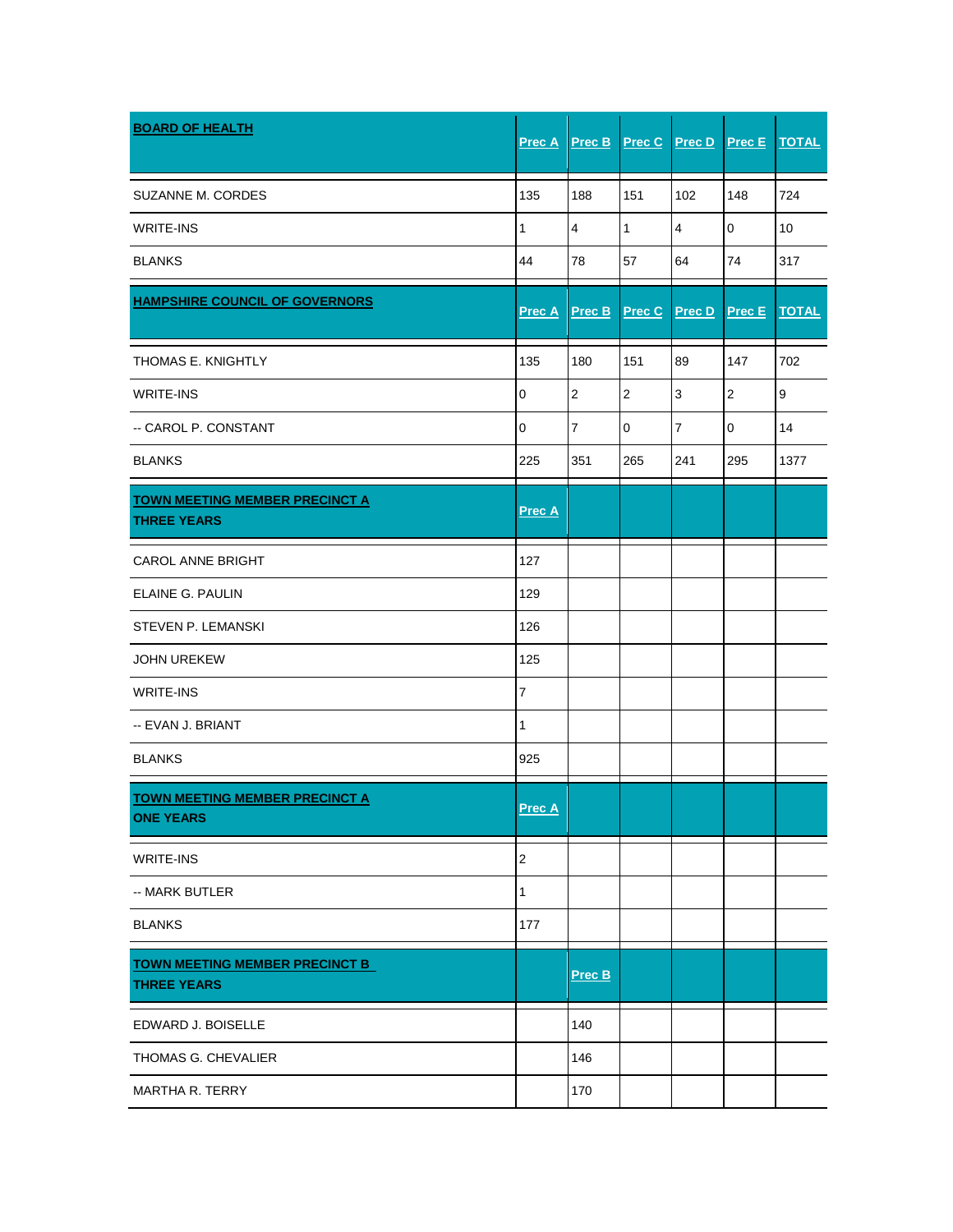| <b>BOARD OF HEALTH</b>                                      | <b>Prec A</b> | Prec B           | Prec C       | Prec D         | Prec E         | <b>TOTAL</b> |
|-------------------------------------------------------------|---------------|------------------|--------------|----------------|----------------|--------------|
| SUZANNE M. CORDES                                           | 135           | 188              | 151          | 102            | 148            | 724          |
| <b>WRITE-INS</b>                                            | 1             | 4                | $\mathbf{1}$ | 4              | $\mathbf 0$    | 10           |
| <b>BLANKS</b>                                               | 44            | 78               | 57           | 64             | 74             | 317          |
| <b>HAMPSHIRE COUNCIL OF GOVERNORS</b>                       | <b>Prec A</b> | Prec B           | Prec C       | <b>Prec D</b>  | Prec E         | <b>TOTAL</b> |
| THOMAS E. KNIGHTLY                                          | 135           | 180              | 151          | 89             | 147            | 702          |
| <b>WRITE-INS</b>                                            | 0             | $\boldsymbol{2}$ | $\sqrt{2}$   | $\mathsf 3$    | $\sqrt{2}$     | 9            |
| -- CAROL P. CONSTANT                                        | 0             | $\overline{7}$   | $\mathbf 0$  | $\overline{7}$ | $\overline{0}$ | 14           |
| <b>BLANKS</b>                                               | 225           | 351              | 265          | 241            | 295            | 1377         |
| <b>TOWN MEETING MEMBER PRECINCT A</b><br><b>THREE YEARS</b> | <b>Prec A</b> |                  |              |                |                |              |
| <b>CAROL ANNE BRIGHT</b>                                    | 127           |                  |              |                |                |              |
| ELAINE G. PAULIN                                            | 129           |                  |              |                |                |              |
| STEVEN P. LEMANSKI                                          | 126           |                  |              |                |                |              |
| <b>JOHN UREKEW</b>                                          | 125           |                  |              |                |                |              |
| <b>WRITE-INS</b>                                            | 7             |                  |              |                |                |              |
| -- EVAN J. BRIANT                                           | 1             |                  |              |                |                |              |
| <b>BLANKS</b>                                               | 925           |                  |              |                |                |              |
| <b>TOWN MEETING MEMBER PRECINCT A</b><br><b>ONE YEARS</b>   | Prec A        |                  |              |                |                |              |
| WRITE-INS                                                   | $\mathbf{2}$  |                  |              |                |                |              |
| -- MARK BUTLER                                              | 1             |                  |              |                |                |              |
| <b>BLANKS</b>                                               | 177           |                  |              |                |                |              |
| <b>TOWN MEETING MEMBER PRECINCT B</b><br><b>THREE YEARS</b> |               | <b>Prec B</b>    |              |                |                |              |
| EDWARD J. BOISELLE                                          |               | 140              |              |                |                |              |
| THOMAS G. CHEVALIER                                         |               | 146              |              |                |                |              |
| MARTHA R. TERRY                                             |               | 170              |              |                |                |              |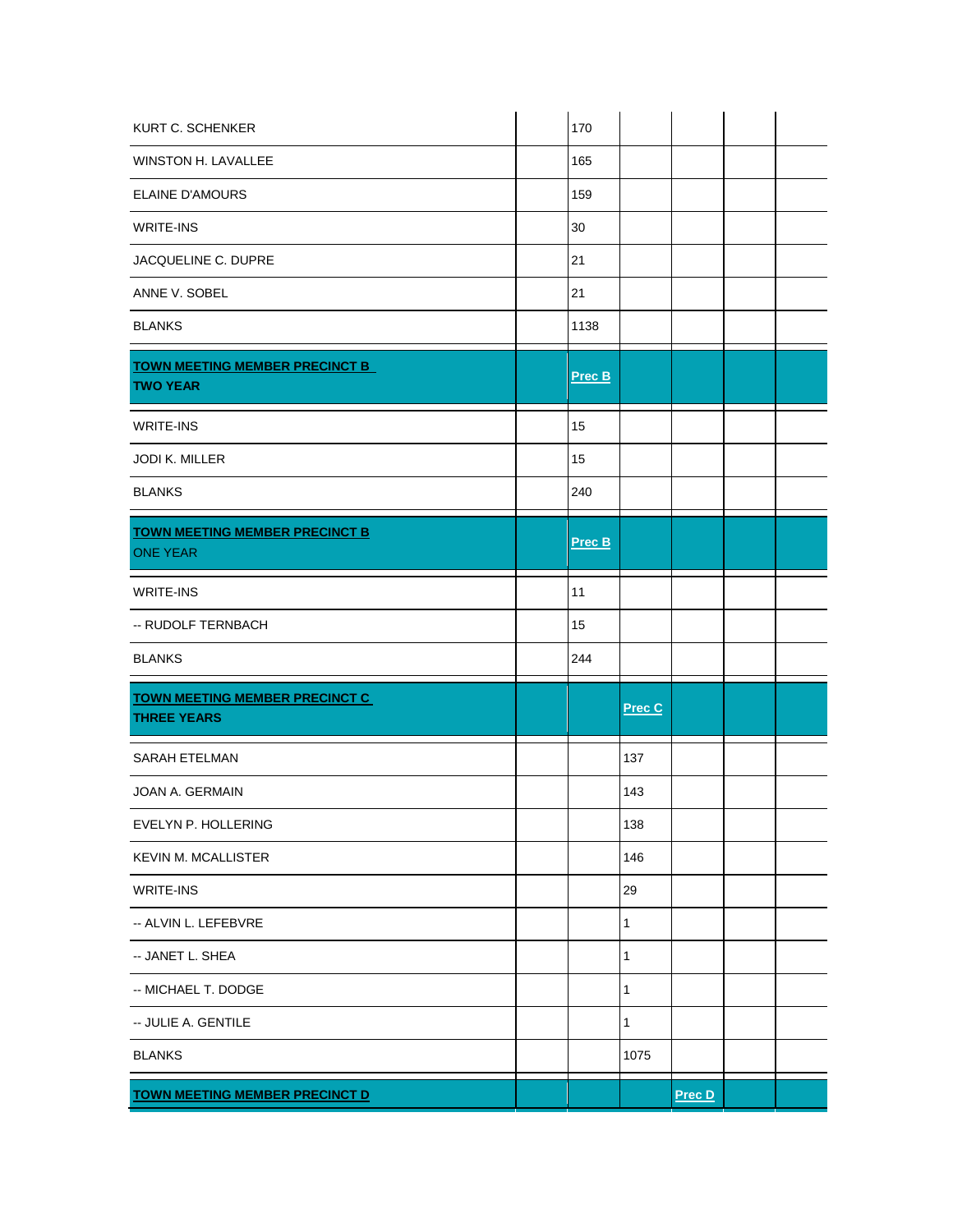| KURT C. SCHENKER                                            | 170    |              |        |  |
|-------------------------------------------------------------|--------|--------------|--------|--|
| WINSTON H. LAVALLEE                                         | 165    |              |        |  |
| <b>ELAINE D'AMOURS</b>                                      | 159    |              |        |  |
| WRITE-INS                                                   | 30     |              |        |  |
| JACQUELINE C. DUPRE                                         | 21     |              |        |  |
| ANNE V. SOBEL                                               | 21     |              |        |  |
| <b>BLANKS</b>                                               | 1138   |              |        |  |
| TOWN MEETING MEMBER PRECINCT B<br><b>TWO YEAR</b>           | Prec B |              |        |  |
| <b>WRITE-INS</b>                                            | 15     |              |        |  |
| <b>JODI K. MILLER</b>                                       | 15     |              |        |  |
| <b>BLANKS</b>                                               | 240    |              |        |  |
| <b>TOWN MEETING MEMBER PRECINCT B</b><br><b>ONE YEAR</b>    | Prec B |              |        |  |
| WRITE-INS                                                   | 11     |              |        |  |
| -- RUDOLF TERNBACH                                          | 15     |              |        |  |
| <b>BLANKS</b>                                               | 244    |              |        |  |
| <b>TOWN MEETING MEMBER PRECINCT C</b><br><b>THREE YEARS</b> |        | Prec C       |        |  |
| <b>SARAH ETELMAN</b>                                        |        | 137          |        |  |
| <b>JOAN A. GERMAIN</b>                                      |        | 143          |        |  |
| EVELYN P. HOLLERING                                         |        | 138          |        |  |
| <b>KEVIN M. MCALLISTER</b>                                  |        | 146          |        |  |
| WRITE-INS                                                   |        | 29           |        |  |
| -- ALVIN L. LEFEBVRE                                        |        | 1            |        |  |
| -- JANET L. SHEA                                            |        | 1            |        |  |
| -- MICHAEL T. DODGE                                         |        | 1            |        |  |
| -- JULIE A. GENTILE                                         |        | $\mathbf{1}$ |        |  |
| <b>BLANKS</b>                                               |        | 1075         |        |  |
| <b>TOWN MEETING MEMBER PRECINCT D</b>                       |        |              | Prec D |  |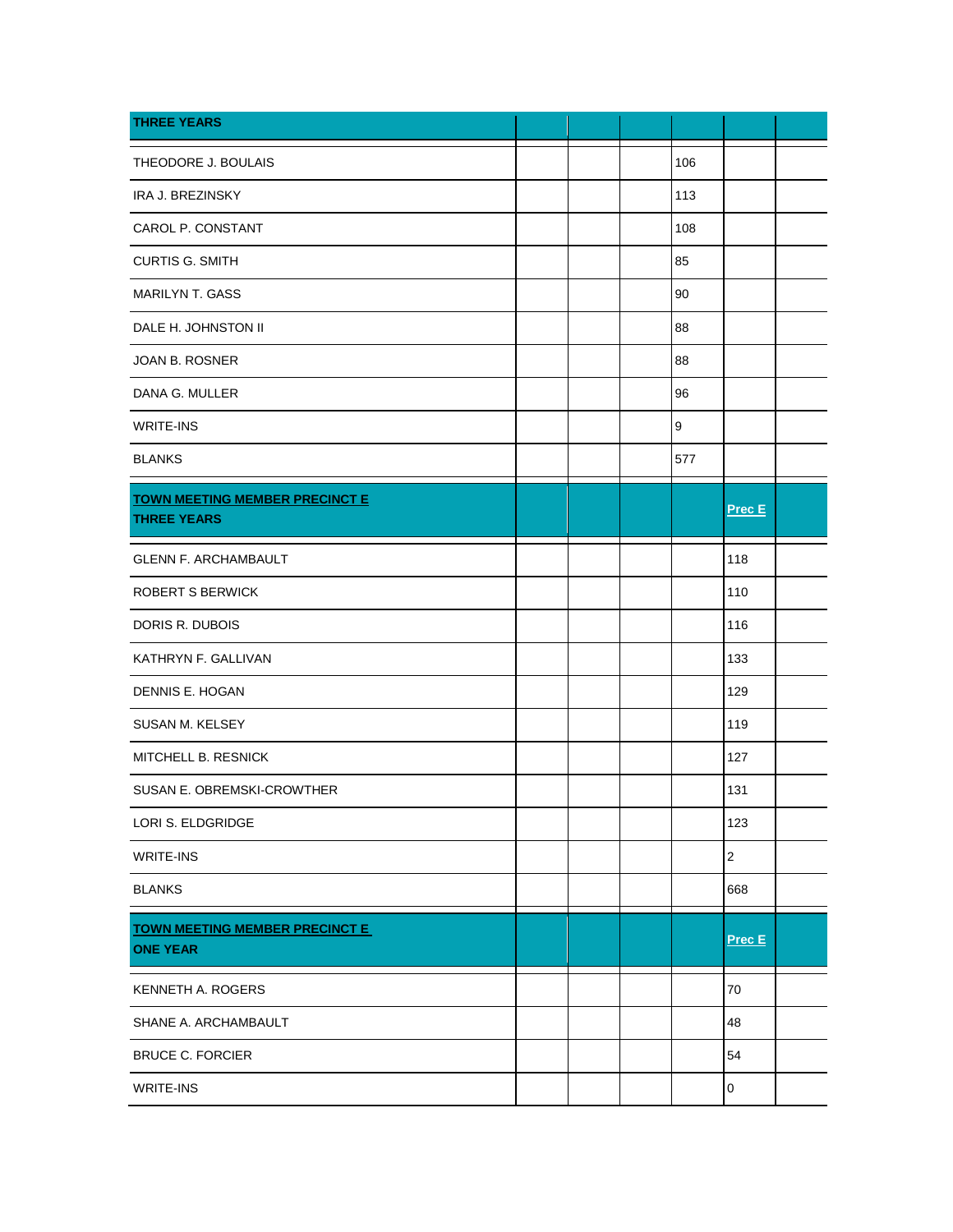| <b>THREE YEARS</b>                                          |  |     |                         |  |
|-------------------------------------------------------------|--|-----|-------------------------|--|
| THEODORE J. BOULAIS                                         |  | 106 |                         |  |
| IRA J. BREZINSKY                                            |  | 113 |                         |  |
| CAROL P. CONSTANT                                           |  | 108 |                         |  |
| <b>CURTIS G. SMITH</b>                                      |  | 85  |                         |  |
| <b>MARILYN T. GASS</b>                                      |  | 90  |                         |  |
| DALE H. JOHNSTON II                                         |  | 88  |                         |  |
| <b>JOAN B. ROSNER</b>                                       |  | 88  |                         |  |
| DANA G. MULLER                                              |  | 96  |                         |  |
| WRITE-INS                                                   |  | 9   |                         |  |
| <b>BLANKS</b>                                               |  | 577 |                         |  |
| <b>TOWN MEETING MEMBER PRECINCT E</b><br><b>THREE YEARS</b> |  |     | Prec E                  |  |
| <b>GLENN F. ARCHAMBAULT</b>                                 |  |     | 118                     |  |
| ROBERT S BERWICK                                            |  |     | 110                     |  |
| DORIS R. DUBOIS                                             |  |     | 116                     |  |
| KATHRYN F. GALLIVAN                                         |  |     | 133                     |  |
| DENNIS E. HOGAN                                             |  |     | 129                     |  |
| SUSAN M. KELSEY                                             |  |     | 119                     |  |
| MITCHELL B. RESNICK                                         |  |     | 127                     |  |
| SUSAN E. OBREMSKI-CROWTHER                                  |  |     | 131                     |  |
| LORI S. ELDGRIDGE                                           |  |     | 123                     |  |
| WRITE-INS                                                   |  |     | $\overline{\mathbf{c}}$ |  |
| <b>BLANKS</b>                                               |  |     | 668                     |  |
| <b>TOWN MEETING MEMBER PRECINCT E</b><br><b>ONE YEAR</b>    |  |     | Prec E                  |  |
| KENNETH A. ROGERS                                           |  |     | 70                      |  |
| SHANE A. ARCHAMBAULT                                        |  |     | 48                      |  |
| <b>BRUCE C. FORCIER</b>                                     |  |     | 54                      |  |
| WRITE-INS                                                   |  |     | $\pmb{0}$               |  |